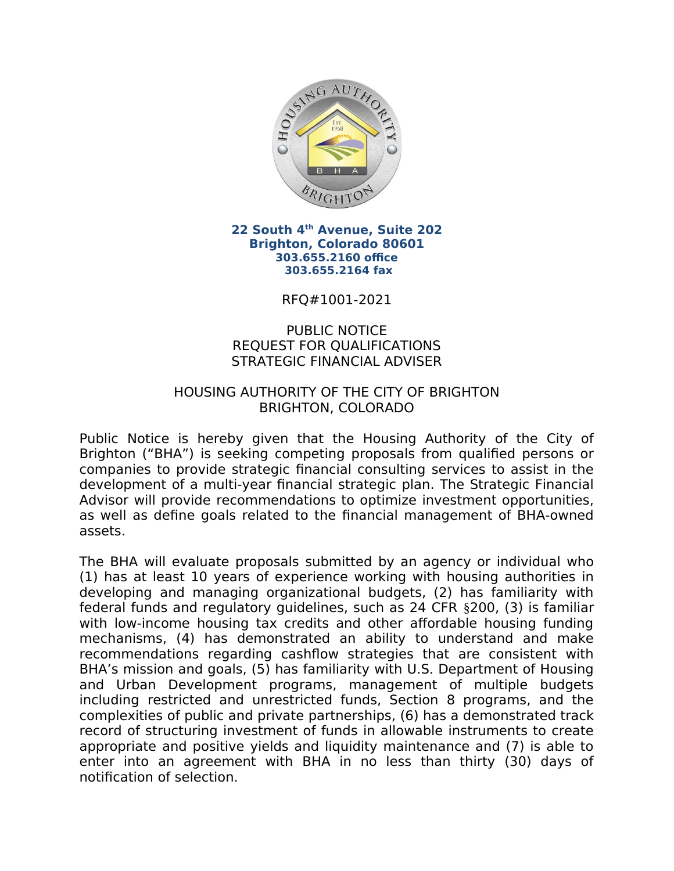

22 South 4th Avenue, Suite 202 **Brighton, Colorado 80601** 303.655.2160 office 303.655.2164 fax

RFO#1001-2021

## **PUBLIC NOTICE REQUEST FOR QUALIFICATIONS STRATEGIC FINANCIAL ADVISER**

## HOUSING AUTHORITY OF THE CITY OF BRIGHTON **BRIGHTON, COLORADO**

Public Notice is hereby given that the Housing Authority of the City of Brighton ("BHA") is seeking competing proposals from qualified persons or companies to provide strategic financial consulting services to assist in the development of a multi-year financial strategic plan. The Strategic Financial Advisor will provide recommendations to optimize investment opportunities, as well as define goals related to the financial management of BHA-owned assets.

The BHA will evaluate proposals submitted by an agency or individual who (1) has at least 10 years of experience working with housing authorities in developing and managing organizational budgets, (2) has familiarity with federal funds and regulatory guidelines, such as 24 CFR §200, (3) is familiar with low-income housing tax credits and other affordable housing funding mechanisms, (4) has demonstrated an ability to understand and make recommendations regarding cashflow strategies that are consistent with BHA's mission and goals, (5) has familiarity with U.S. Department of Housing and Urban Development programs, management of multiple budgets including restricted and unrestricted funds, Section 8 programs, and the complexities of public and private partnerships, (6) has a demonstrated track record of structuring investment of funds in allowable instruments to create appropriate and positive yields and liquidity maintenance and (7) is able to enter into an agreement with BHA in no less than thirty (30) days of notification of selection.